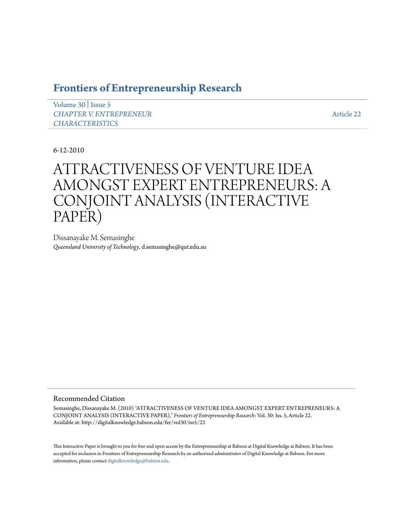# **[Frontiers of Entrepreneurship Research](http://digitalknowledge.babson.edu/fer)**

[Volume 30](http://digitalknowledge.babson.edu/fer/vol30) | [Issue 5](http://digitalknowledge.babson.edu/fer/vol30/iss5) *[CHAPTER V. ENTREPRENEUR](http://digitalknowledge.babson.edu/fer/vol30/iss5) [CHARACTERISTICS](http://digitalknowledge.babson.edu/fer/vol30/iss5)*

[Article 22](http://digitalknowledge.babson.edu/fer/vol30/iss5/22)

6-12-2010

# ATTRACTIVENESS OF VENTURE IDEA AMONGST EXPERT ENTREPRENEURS: A CONJOINT ANALYSIS (INTERACTIVE PAPER)

Dissanayake M. Semasinghe *Queensland University of Technology*, d.semasinghe@qut.edu.au

### Recommended Citation

Semasinghe, Dissanayake M. (2010) "ATTRACTIVENESS OF VENTURE IDEA AMONGST EXPERT ENTREPRENEURS: A CONJOINT ANALYSIS (INTERACTIVE PAPER)," *Frontiers of Entrepreneurship Research*: Vol. 30: Iss. 5, Article 22. Available at: http://digitalknowledge.babson.edu/fer/vol30/iss5/22

This Interactive Paper is brought to you for free and open access by the Entrepreneurship at Babson at Digital Knowledge at Babson. It has been accepted for inclusion in Frontiers of Entrepreneurship Research by an authorized administrator of Digital Knowledge at Babson. For more information, please contact [digitalknowledge@babson.edu.](mailto:digitalknowledge@babson.edu)